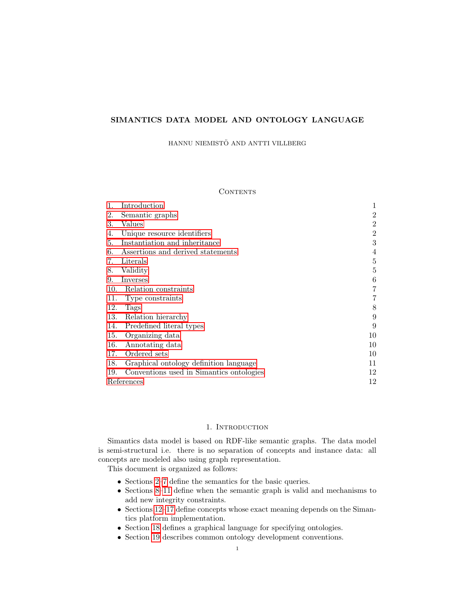# SIMANTICS DATA MODEL AND ONTOLOGY LANGUAGE

HANNU NIEMISTÖ AND ANTTI VILLBERG

# **CONTENTS**

|     | Introduction                             | 1              |
|-----|------------------------------------------|----------------|
| 2.  | Semantic graphs                          | 2              |
| 3.  | Values                                   | 2              |
| 4.  | Unique resource identifiers              | $\overline{2}$ |
| 5.  | Instantiation and inheritance            | 3              |
| 6.  | Assertions and derived statements        | 4              |
| 7.  | Literals                                 | 5              |
| 8.  | Validity                                 | 5              |
| 9.  | Inverses                                 | 6              |
| 10. | Relation constraints                     | 7              |
| 11. | Type constraints                         | 7              |
| 12. | Tags                                     | 8              |
| 13. | Relation hierarchy                       | 9              |
| 14. | Predefined literal types                 | 9              |
| 15. | Organizing data                          | 10             |
| 16. | Annotating data                          | 10             |
| 17. | Ordered sets                             | 10             |
| 18. | Graphical ontology definition language   | 11             |
| 19. | Conventions used in Simantics ontologies | 12             |
|     | References                               | 12             |

#### 1. INTRODUCTION

<span id="page-0-0"></span>Simantics data model is based on RDF-like semantic graphs. The data model is semi-structural i.e. there is no separation of concepts and instance data: all concepts are modeled also using graph representation.

This document is organized as follows:

- ∙ Sections [2](#page-1-0)[–7](#page-4-0) define the semantics for the basic queries.
- ∙ Sections [8](#page-4-1)[–11](#page-6-1) define when the semantic graph is valid and mechanisms to add new integrity constraints.
- ∙ Sections [12](#page-7-0)[–17](#page-9-2) define concepts whose exact meaning depends on the Simantics platform implementation.
- ∙ Section [18](#page-10-0) defines a graphical language for specifying ontologies.
- ∙ Section [19](#page-11-0) describes common ontology development conventions.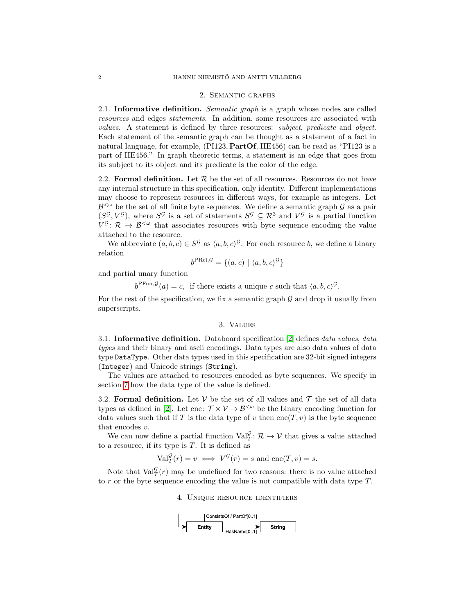#### 2. Semantic graphs

<span id="page-1-0"></span>2.1. Informative definition. *Semantic graph* is a graph whose nodes are called resources and edges statements. In addition, some resources are associated with values. A statement is defined by three resources: subject, predicate and object. Each statement of the semantic graph can be thought as a statement of a fact in natural language, for example, (PI123, PartOf, HE456) can be read as "PI123 is a part of HE456." In graph theoretic terms, a statement is an edge that goes from its subject to its object and its predicate is the color of the edge.

2.2. Formal definition. Let  $R$  be the set of all resources. Resources do not have any internal structure in this specification, only identity. Different implementations may choose to represent resources in different ways, for example as integers. Let  $\mathcal{B}^{\leq \omega}$  be the set of all finite byte sequences. We define a semantic graph  $\mathcal G$  as a pair  $(S^{\mathcal{G}}, V^{\mathcal{G}})$ , where  $S^{\mathcal{G}}$  is a set of statements  $S^{\mathcal{G}} \subseteq \mathcal{R}^3$  and  $V^{\mathcal{G}}$  is a partial function  $V^{\mathcal{G}}: \mathcal{R} \to \mathcal{B}^{\leq \omega}$  that associates resources with byte sequence encoding the value attached to the resource.

We abbreviate  $(a, b, c) \in S^{\mathcal{G}}$  as  $\langle a, b, c \rangle^{\mathcal{G}}$ . For each resource b, we define a binary relation

$$
b^{\text{PRel}, \mathcal{G}} = \{(a, c) \mid \langle a, b, c \rangle^{\mathcal{G}}\}
$$

and partial unary function

 $b^{\text{PFun},\mathcal{G}}(a) = c$ , if there exists a unique c such that  $\langle a, b, c \rangle^{\mathcal{G}}$ .

For the rest of the specification, we fix a semantic graph  $\mathcal G$  and drop it usually from superscripts.

#### 3. Values

<span id="page-1-1"></span>3.1. Informative definition. Databoard specification [\[2\]](#page-11-2) defines data values, data types and their binary and ascii encodings. Data types are also data values of data type DataType. Other data types used in this specification are 32-bit signed integers (Integer) and Unicode strings (String).

The values are attached to resources encoded as byte sequences. We specify in section [7](#page-4-0) how the data type of the value is defined.

3.2. Formal definition. Let  $V$  be the set of all values and  $\mathcal T$  the set of all data types as defined in [\[2\]](#page-11-2). Let enc:  $\mathcal{T} \times \mathcal{V} \rightarrow \mathcal{B}^{\langle \omega \rangle}$  be the binary encoding function for data values such that if T is the data type of  $v$  then  $enc(T, v)$  is the byte sequence that encodes  $v$ .

We can now define a partial function  $\text{Val}_T^{\mathcal{G}}: \mathcal{R} \to \mathcal{V}$  that gives a value attached to a resource, if its type is  $T$ . It is defined as

$$
\text{Val}_T^{\mathcal{G}}(r) = v \iff V^{\mathcal{G}}(r) = s \text{ and } \text{enc}(T, v) = s.
$$

<span id="page-1-2"></span>Note that  $\text{Val}_T^{\mathcal{G}}(r)$  may be undefined for two reasons: there is no value attached to  $r$  or the byte sequence encoding the value is not compatible with data type  $T$ .

#### 4. Unique resource identifiers

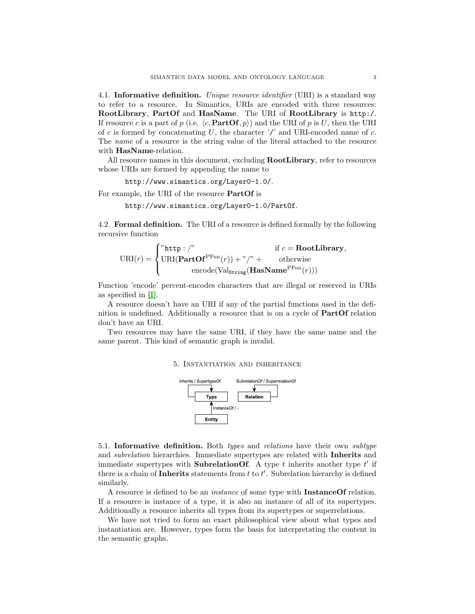4.1. Informative definition. Unique resource identifier (URI) is a standard way to refer to a resource. In Simantics, URIs are encoded with three resources: RootLibrary, PartOf and HasName. The URI of RootLibrary is http:/. If resource c is a part of p (i.e.  $\langle c, \text{PartOf}, p \rangle$ ) and the URI of p is U, then the URI of c is formed by concatenating U, the character '/' and URI-encoded name of  $c$ . The name of a resource is the string value of the literal attached to the resource with **HasName**-relation.

All resource names in this document, excluding **RootLibrary**, refer to resources whose URIs are formed by appending the name to

http://www.simantics.org/Layer0-1.0/.

For example, the URI of the resource PartOf is

http://www.simantics.org/Layer0-1.0/PartOf.

4.2. Formal definition. The URI of a resource is defined formally by the following recursive function

$$
\text{URI}(r) = \begin{cases} \text{"http://"\quad$if $c = \text{RootLibrary},$} \\ \text{URI}(\text{PartOf}^{\text{PFun}}(r)) + \text{"/" + \quad$otherwise} \\ \text{encode}(\text{Val}_{\text{string}}(\text{HasName}^{\text{PFun}}(r))) \end{cases}
$$

Function 'encode' percent-encodes characters that are illegal or reserved in URIs as specified in [\[1\]](#page-11-1).

A resource doesn't have an URI if any of the partial functions used in the definition is undefined. Additionally a resource that is on a cycle of PartOf relation don't have an URI.

<span id="page-2-0"></span>Two resources may have the same URI, if they have the same name and the same parent. This kind of semantic graph is invalid.

#### 5. Instantiation and inheritance



5.1. Informative definition. Both types and relations have their own subtype and *subrelation* hierarchies. Immediate supertypes are related with **Inherits** and immediate supertypes with **SubrelationOf**. A type  $t$  inherits another type  $t'$  if there is a chain of Inherits statements from  $t$  to  $t'$ . Subrelation hierarchy is defined similarly.

A resource is defined to be an *instance* of some type with **InstanceOf** relation. If a resource is instance of a type, it is also an instance of all of its supertypes. Additionally a resource inherits all types from its supertypes or superrelations.

We have not tried to form an exact philosophical view about what types and instantiation are. However, types form the basis for interpretating the content in the semantic graphs.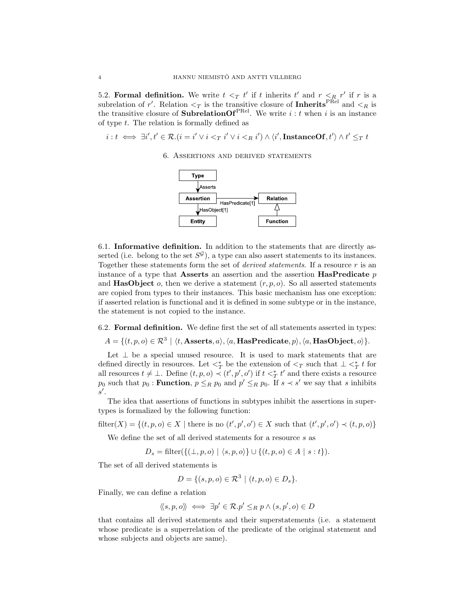5.2. Formal definition. We write  $t <_T t'$  if t inherits  $t'$  and  $r <_R r'$  if t is a subrelation of r'. Relation  $\lt_T$  is the transitive closure of **Inherits**<sup>PRel</sup> and  $\lt_R$  is the transitive closure of **SubrelationOf**<sup>PRel</sup>. We write  $i : t$  when  $i$  is an instance of type  $t$ . The relation is formally defined as

<span id="page-3-0"></span> $i:t \iff \exists i',t' \in {\cal R}. (i=i' \vee i <_T i' \vee i <_R i') \wedge \langle i',{\rm InstanceOf},t' \rangle \wedge t' \leq_T t$ 

6. Assertions and derived statements



6.1. Informative definition. In addition to the statements that are directly asserted (i.e. belong to the set  $S^{\mathcal{G}}$ ), a type can also assert statements to its instances. Together these statements form the set of *derived statements*. If a resource  $r$  is an instance of a type that **Asserts** an assertion and the assertion **HasPredicate**  $p$ and **HasObject**  $o$ , then we derive a statement  $(r, p, o)$ . So all asserted statements are copied from types to their instances. This basic mechanism has one exception: if asserted relation is functional and it is defined in some subtype or in the instance, the statement is not copied to the instance.

6.2. Formal definition. We define first the set of all statements asserted in types:

$$
A = \{ (t, p, o) \in \mathcal{R}^3 \mid \langle t, \text{Asserts}, a \rangle, \langle a, \text{HasPredicte}, p \rangle, \langle a, \text{HasObject}, o \rangle \}.
$$

Let  $\perp$  be a special unused resource. It is used to mark statements that are defined directly in resources. Let  $\lt^*_T$  be the extension of  $\lt_T$  such that  $\perp \lt^*_T t$  for all resources  $t \neq \bot$ . Define  $(t, p, o) \prec (t', p', o')$  if  $t <^*_T t'$  and there exists a resource  $p_0$  such that  $p_0$ : **Function**,  $p \leq_R p_0$  and  $p' \leq_R p_0$ . If  $s \prec s'$  we say that s inhibits  $s'$ .

The idea that assertions of functions in subtypes inhibit the assertions in supertypes is formalized by the following function:

filter(X) = { $(t, p, o) \in X$  | there is no  $(t', p', o') \in X$  such that  $(t', p', o') \prec (t, p, o)$ }

We define the set of all derived statements for a resource  $s$  as

$$
D_s = \text{filter}(\{ (\bot, p, o) \mid \langle s, p, o \rangle \} \cup \{ (t, p, o) \in A \mid s : t \}).
$$

The set of all derived statements is

$$
D = \{ (s, p, o) \in \mathcal{R}^3 \mid (t, p, o) \in D_s \}.
$$

Finally, we can define a relation

$$
\langle \langle s, p, o \rangle \rangle \iff \exists p' \in \mathcal{R}. p' \leq_R p \land (s, p', o) \in D
$$

that contains all derived statements and their superstatements (i.e. a statement whose predicate is a superrelation of the predicate of the original statement and whose subjects and objects are same).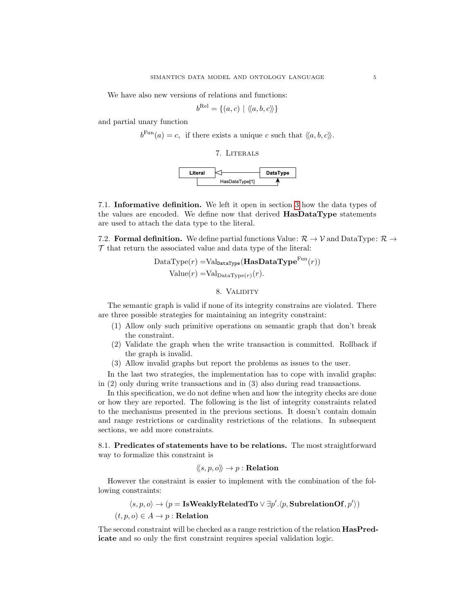We have also new versions of relations and functions:

$$
b^{\text{Rel}} = \{(a, c) \mid \langle\!\langle a, b, c\rangle\!\rangle\}
$$

<span id="page-4-0"></span>and partial unary function

 $b^{\text{Fun}}(a) = c$ , if there exists a unique c such that  $\langle \langle a, b, c \rangle \rangle$ .





7.1. Informative definition. We left it open in section [3](#page-1-1) how the data types of the values are encoded. We define now that derived HasDataType statements are used to attach the data type to the literal.

7.2. Formal definition. We define partial functions Value:  $\mathcal{R} \to \mathcal{V}$  and DataType:  $\mathcal{R} \to$  $\mathcal T$  that return the associated value and data type of the literal:

$$
DataType(r) = Val_{\text{DataType}}(\mathbf{HasDataType}^{Fun}(r))
$$
  
Value(r) = Val<sub>DataType</sub>(r)(r).

#### 8. VALIDITY

<span id="page-4-1"></span>The semantic graph is valid if none of its integrity constrains are violated. There are three possible strategies for maintaining an integrity constraint:

- (1) Allow only such primitive operations on semantic graph that don't break the constraint.
- (2) Validate the graph when the write transaction is committed. Rollback if the graph is invalid.
- (3) Allow invalid graphs but report the problems as issues to the user.

In the last two strategies, the implementation has to cope with invalid graphs: in (2) only during write transactions and in (3) also during read transactions.

In this specification, we do not define when and how the integrity checks are done or how they are reported. The following is the list of integrity constraints related to the mechanisms presented in the previous sections. It doesn't contain domain and range restrictions or cardinality restrictions of the relations. In subsequent sections, we add more constraints.

8.1. Predicates of statements have to be relations. The most straightforward way to formalize this constraint is

$$
\langle\!\langle s,p,o \rangle\!\rangle \to p : \mathbf{Relation}
$$

However the constraint is easier to implement with the combination of the following constraints:

$$
\langle s, p, o \rangle \to (p = \text{IsWeaklyRelatedTo} \lor \exists p'.\langle p, \text{SubrelationOf}, p' \rangle)
$$

$$
(t, p, o) \in A \to p : \text{Relation}
$$

The second constraint will be checked as a range restriction of the relation HasPredicate and so only the first constraint requires special validation logic.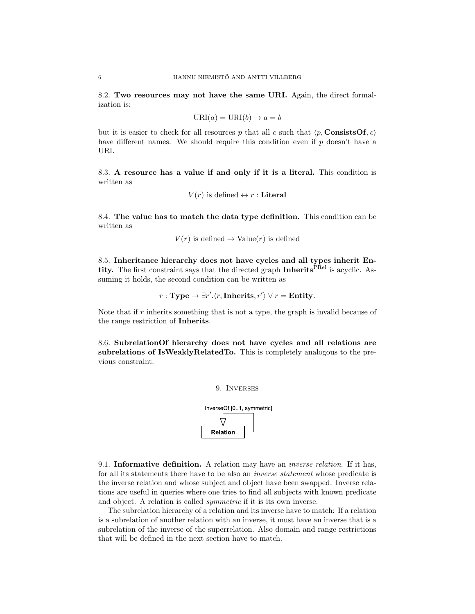8.2. Two resources may not have the same URI. Again, the direct formalization is:

$$
URI(a) = URI(b) \rightarrow a = b
$$

but it is easier to check for all resources p that all c such that  $\langle p,$  ConsistsOf,  $c \rangle$ have different names. We should require this condition even if  $p$  doesn't have a URI.

8.3. A resource has a value if and only if it is a literal. This condition is written as

$$
V(r)
$$
 is defined  $\leftrightarrow$  r : **Literal**

8.4. The value has to match the data type definition. This condition can be written as

$$
V(r)
$$
 is defined  $\rightarrow$  Value $(r)$  is defined

8.5. Inheritance hierarchy does not have cycles and all types inherit Entity. The first constraint says that the directed graph Inherits<sup>PRel</sup> is acyclic. Assuming it holds, the second condition can be written as

$$
r: \text{Type} \rightarrow \exists r'. \langle r, \text{Inherits}, r' \rangle \lor r = \text{Entity}.
$$

Note that if  $r$  inherits something that is not a type, the graph is invalid because of the range restriction of Inherits.

<span id="page-5-0"></span>8.6. SubrelationOf hierarchy does not have cycles and all relations are subrelations of IsWeaklyRelatedTo. This is completely analogous to the previous constraint.





9.1. Informative definition. A relation may have an inverse relation. If it has, for all its statements there have to be also an inverse statement whose predicate is the inverse relation and whose subject and object have been swapped. Inverse relations are useful in queries where one tries to find all subjects with known predicate and object. A relation is called symmetric if it is its own inverse.

The subrelation hierarchy of a relation and its inverse have to match: If a relation is a subrelation of another relation with an inverse, it must have an inverse that is a subrelation of the inverse of the superrelation. Also domain and range restrictions that will be defined in the next section have to match.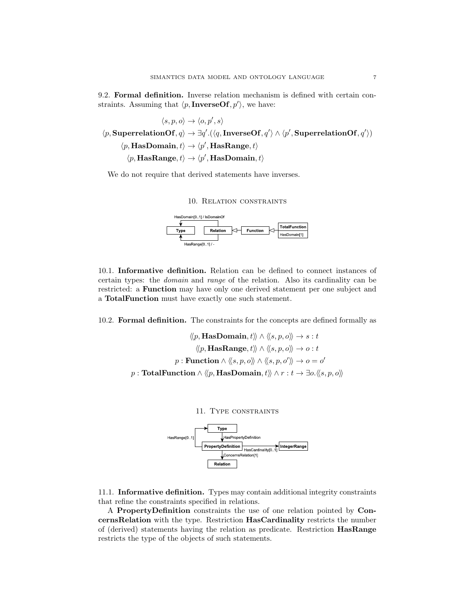9.2. Formal definition. Inverse relation mechanism is defined with certain constraints. Assuming that  $\langle p, {\bf InverseOf}, p' \rangle$ , we have:

 $\langle s, p, o \rangle \rightarrow \langle o, p', s \rangle$  $\langle p, \text{SuperrelationOf}, q \rangle \rightarrow \exists q'.(\langle q, \text{InverseOf}, q' \rangle \land \langle p', \text{SuperrelationOf}, q' \rangle)$  $\langle p, \textbf{HasDomain}, t \rangle \rightarrow \langle p', \textbf{HasRange}, t \rangle$  $\langle p, \textbf{HasRange}, t \rangle \rightarrow \langle p', \textbf{HasDomain}, t \rangle$ 

<span id="page-6-0"></span>We do not require that derived statements have inverses.

#### 10. Relation constraints



10.1. Informative definition. Relation can be defined to connect instances of certain types: the domain and range of the relation. Also its cardinality can be restricted: a Function may have only one derived statement per one subject and a TotalFunction must have exactly one such statement.

10.2. Formal definition. The constraints for the concepts are defined formally as

$$
\langle\!\langle p,\textbf{HasDomain},t\rangle\!\rangle \land \langle\!\langle s,p,o\rangle\!\rangle \rightarrow s:t
$$

$$
\langle\!\langle p,\textbf{HasRange},t\rangle\!\rangle \land \langle\!\langle s,p,o\rangle\!\rangle \rightarrow o:t
$$

$$
p:\textbf{Function} \land \langle\!\langle s,p,o\rangle\!\rangle \land \langle\!\langle s,p,o'\rangle\!\rangle \rightarrow o=o'
$$

$$
p:\textbf{TotalFunction} \land \langle\!\langle p,\textbf{HasDomain},t\rangle\!\rangle \land r:t\rightarrow \exists o.\langle\!\langle s,p,o\rangle\!\rangle
$$

<span id="page-6-1"></span>

11.1. Informative definition. Types may contain additional integrity constraints that refine the constraints specified in relations.

A PropertyDefinition constraints the use of one relation pointed by ConcernsRelation with the type. Restriction HasCardinality restricts the number of (derived) statements having the relation as predicate. Restriction HasRange restricts the type of the objects of such statements.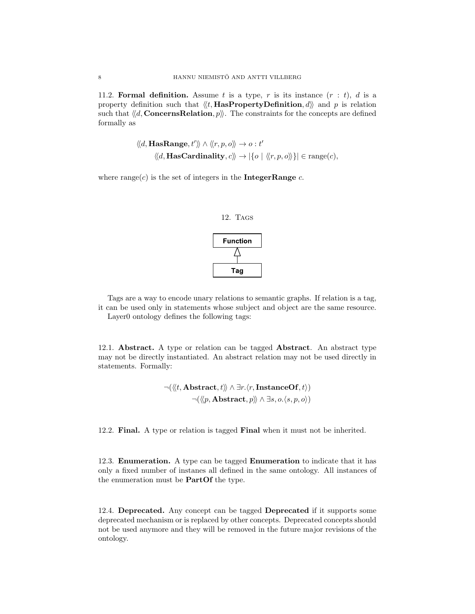11.2. Formal definition. Assume t is a type, r is its instance  $(r : t)$ , d is a property definition such that  $\langle \langle t, \text{HasPropertyDefinition}, d \rangle \rangle$  and p is relation such that  $\langle d,$  ConcernsRelation,  $p \rangle$ . The constraints for the concepts are defined formally as

$$
\langle d, \text{HasRange}, t' \rangle \rangle \land \langle \langle r, p, o \rangle \rangle \rightarrow o : t'
$$

$$
\langle \langle d, \text{HasCardinality}, c \rangle \rangle \rightarrow |\{o \mid \langle \langle r, p, o \rangle \rangle\}| \in \text{range}(c),
$$

<span id="page-7-0"></span>where range( $c$ ) is the set of integers in the **IntegerRange**  $c$ .



Tags are a way to encode unary relations to semantic graphs. If relation is a tag, it can be used only in statements whose subject and object are the same resource. Layer0 ontology defines the following tags:

12.1. Abstract. A type or relation can be tagged Abstract. An abstract type may not be directly instantiated. An abstract relation may not be used directly in statements. Formally:

$$
\neg(\langle \langle t, \text{Abstract}, t \rangle \rangle \land \exists r. \langle r, \text{InstanceOf}, t \rangle) \\
\neg(\langle \langle p, \text{Abstract}, p \rangle \rangle \land \exists s, o. \langle s, p, o \rangle)
$$

12.2. Final. A type or relation is tagged Final when it must not be inherited.

12.3. Enumeration. A type can be tagged Enumeration to indicate that it has only a fixed number of instanes all defined in the same ontology. All instances of the enumeration must be PartOf the type.

12.4. Deprecated. Any concept can be tagged Deprecated if it supports some deprecated mechanism or is replaced by other concepts. Deprecated concepts should not be used anymore and they will be removed in the future major revisions of the ontology.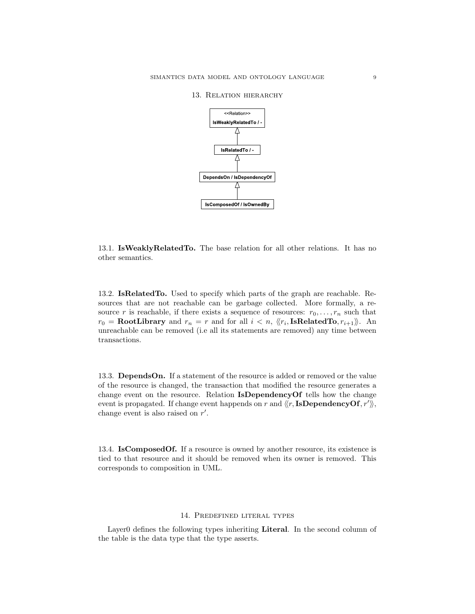<span id="page-8-0"></span>13. Relation hierarchy



13.1. IsWeaklyRelatedTo. The base relation for all other relations. It has no other semantics.

13.2. IsRelatedTo. Used to specify which parts of the graph are reachable. Resources that are not reachable can be garbage collected. More formally, a resource r is reachable, if there exists a sequence of resources:  $r_0, \ldots, r_n$  such that  $r_0 = \textbf{RootLibrary}$  and  $r_n = r$  and for all  $i < n$ ,  $\langle\langle r_i, \textbf{IsRelatedTo}, r_{i+1}\rangle\rangle$ . An unreachable can be removed (i.e all its statements are removed) any time between transactions.

13.3. DependsOn. If a statement of the resource is added or removed or the value of the resource is changed, the transaction that modified the resource generates a change event on the resource. Relation IsDependencyOf tells how the change event is propagated. If change event happends on r and  $\langle\langle r, \mathbf{IsDependencyOf}, r'\rangle\rangle$ , change event is also raised on  $r'$ .

13.4. IsComposedOf. If a resource is owned by another resource, its existence is tied to that resource and it should be removed when its owner is removed. This corresponds to composition in UML.

#### 14. Predefined literal types

<span id="page-8-1"></span>Layer0 defines the following types inheriting **Literal**. In the second column of the table is the data type that the type asserts.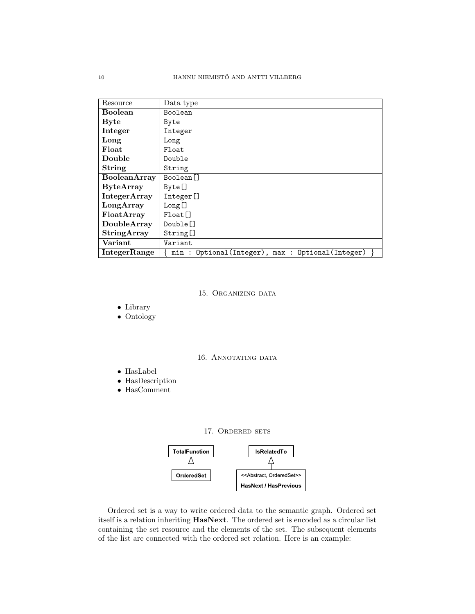| Resource            | Data type                                          |
|---------------------|----------------------------------------------------|
| <b>Boolean</b>      | Boolean                                            |
| <b>Byte</b>         | Byte                                               |
| Integer             | Integer                                            |
| Long                | Long                                               |
| Float               | Float                                              |
| Double              | Double                                             |
| String              | String                                             |
| <b>BooleanArray</b> | Boolean <sup>[]</sup>                              |
| <b>ByteArray</b>    | Byte[]                                             |
| <b>IntegerArray</b> | Integer[]                                          |
| LongArray           | Long[]                                             |
| FloatArray          | $Float$ $\lceil$                                   |
| DoubleArray         | Double <sup>[]</sup>                               |
| <b>StringArray</b>  | String[]                                           |
| Variant             | Variant                                            |
| IntegerRange        | Optional(Integer), max : Optional(Integer)<br>min: |

15. Organizing data

<span id="page-9-0"></span>∙ Library

∙ Ontology

16. ANNOTATING DATA

- <span id="page-9-1"></span>∙ HasLabel
- ∙ HasDescription
- <span id="page-9-2"></span>∙ HasComment

## 17. ORDERED SETS



Ordered set is a way to write ordered data to the semantic graph. Ordered set itself is a relation inheriting HasNext. The ordered set is encoded as a circular list containing the set resource and the elements of the set. The subsequent elements of the list are connected with the ordered set relation. Here is an example: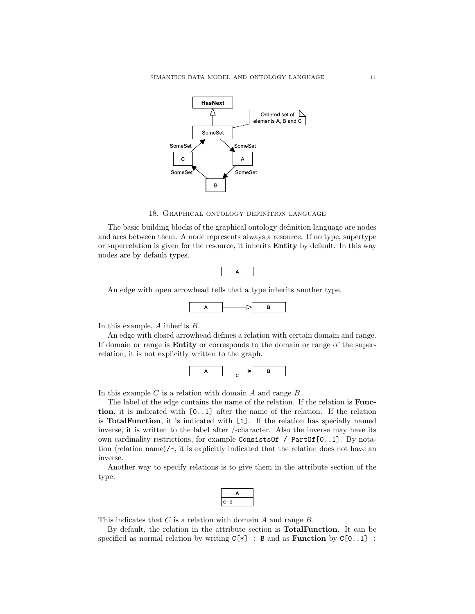

#### 18. Graphical ontology definition language

<span id="page-10-0"></span>The basic building blocks of the graphical ontology definition language are nodes and arcs between them. A node represents always a resource. If no type, supertype or superrelation is given for the resource, it inherits Entity by default. In this way nodes are by default types.



An edge with open arrowhead tells that a type inherits another type.



In this example,  $A$  inherits  $B$ .

An edge with closed arrowhead defines a relation with certain domain and range. If domain or range is Entity or corresponds to the domain or range of the superrelation, it is not explicitly written to the graph.



In this example  $C$  is a relation with domain  $A$  and range  $B$ .

The label of the edge contains the name of the relation. If the relation is Function, it is indicated with [0..1] after the name of the relation. If the relation is TotalFunction, it is indicated with [1]. If the relation has specially named inverse, it is written to the label after /-character. Also the inverse may have its own cardinality restrictions, for example ConsistsOf / PartOf[0..1]. By notation  $\langle$  relation name $\rangle$ /-, it is explicitly indicated that the relation does not have an inverse.

Another way to specify relations is to give them in the attribute section of the type:

| n, |
|----|

This indicates that  $C$  is a relation with domain  $A$  and range  $B$ .

By default, the relation in the attribute section is TotalFunction. It can be specified as normal relation by writing  $C[*] : B$  and as **Function** by  $C[0..1]$ :